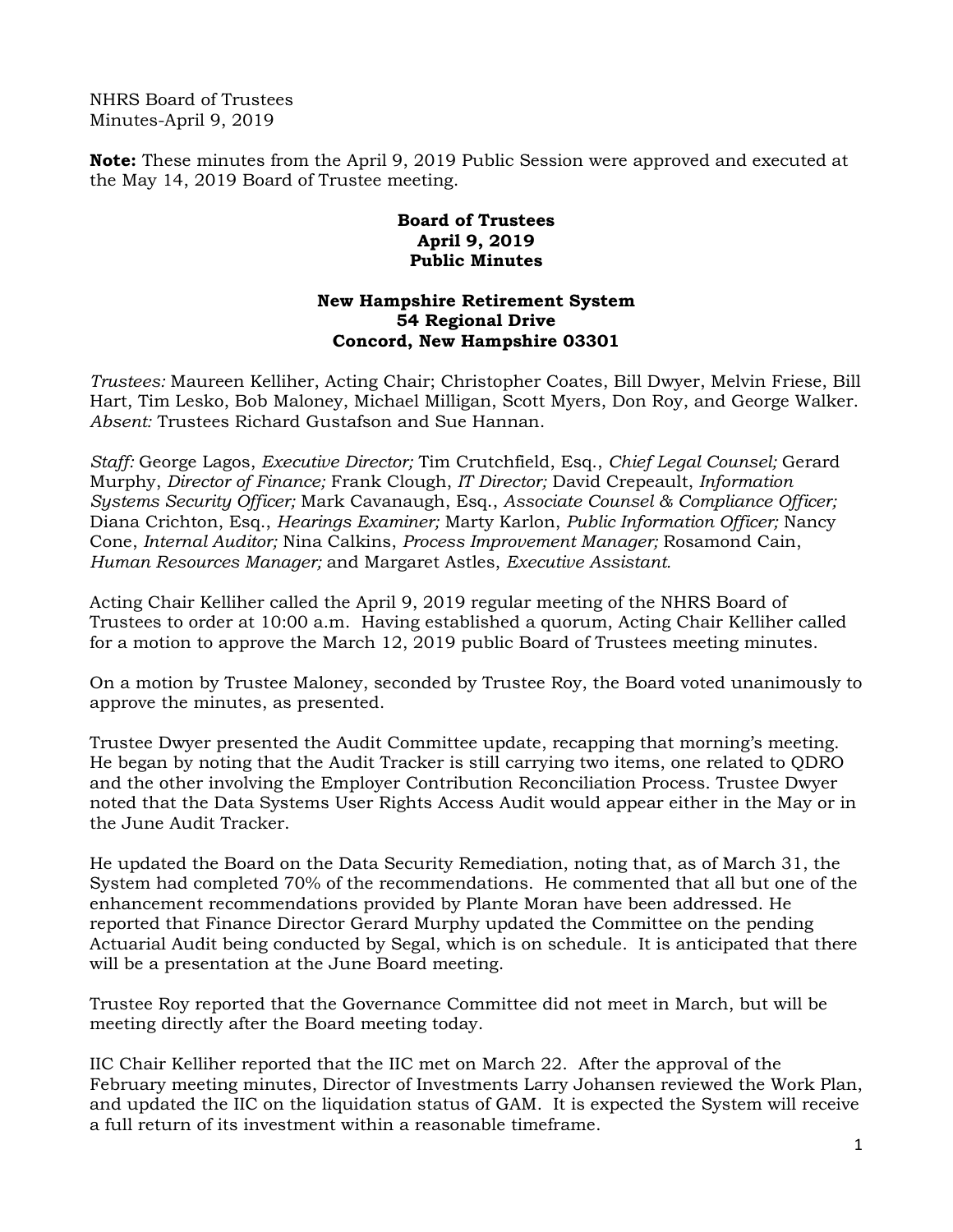NHRS Board of Trustees Minutes-April 9, 2019

**Note:** These minutes from the April 9, 2019 Public Session were approved and executed at the May 14, 2019 Board of Trustee meeting.

## **Board of Trustees April 9, 2019 Public Minutes**

## **New Hampshire Retirement System 54 Regional Drive Concord, New Hampshire 03301**

*Trustees:* Maureen Kelliher, Acting Chair; Christopher Coates, Bill Dwyer, Melvin Friese, Bill Hart, Tim Lesko, Bob Maloney, Michael Milligan, Scott Myers, Don Roy, and George Walker. *Absent:* Trustees Richard Gustafson and Sue Hannan.

*Staff:* George Lagos, *Executive Director;* Tim Crutchfield, Esq., *Chief Legal Counsel;* Gerard Murphy, *Director of Finance;* Frank Clough, *IT Director;* David Crepeault, *Information Systems Security Officer;* Mark Cavanaugh, Esq., *Associate Counsel & Compliance Officer;*  Diana Crichton, Esq., *Hearings Examiner;* Marty Karlon, *Public Information Officer;* Nancy Cone, *Internal Auditor;* Nina Calkins, *Process Improvement Manager;* Rosamond Cain, *Human Resources Manager;* and Margaret Astles, *Executive Assistant.* 

Acting Chair Kelliher called the April 9, 2019 regular meeting of the NHRS Board of Trustees to order at 10:00 a.m. Having established a quorum, Acting Chair Kelliher called for a motion to approve the March 12, 2019 public Board of Trustees meeting minutes.

On a motion by Trustee Maloney, seconded by Trustee Roy, the Board voted unanimously to approve the minutes, as presented.

Trustee Dwyer presented the Audit Committee update, recapping that morning's meeting. He began by noting that the Audit Tracker is still carrying two items, one related to QDRO and the other involving the Employer Contribution Reconciliation Process. Trustee Dwyer noted that the Data Systems User Rights Access Audit would appear either in the May or in the June Audit Tracker.

He updated the Board on the Data Security Remediation, noting that, as of March 31, the System had completed 70% of the recommendations. He commented that all but one of the enhancement recommendations provided by Plante Moran have been addressed. He reported that Finance Director Gerard Murphy updated the Committee on the pending Actuarial Audit being conducted by Segal, which is on schedule. It is anticipated that there will be a presentation at the June Board meeting.

Trustee Roy reported that the Governance Committee did not meet in March, but will be meeting directly after the Board meeting today.

IIC Chair Kelliher reported that the IIC met on March 22. After the approval of the February meeting minutes, Director of Investments Larry Johansen reviewed the Work Plan, and updated the IIC on the liquidation status of GAM. It is expected the System will receive a full return of its investment within a reasonable timeframe.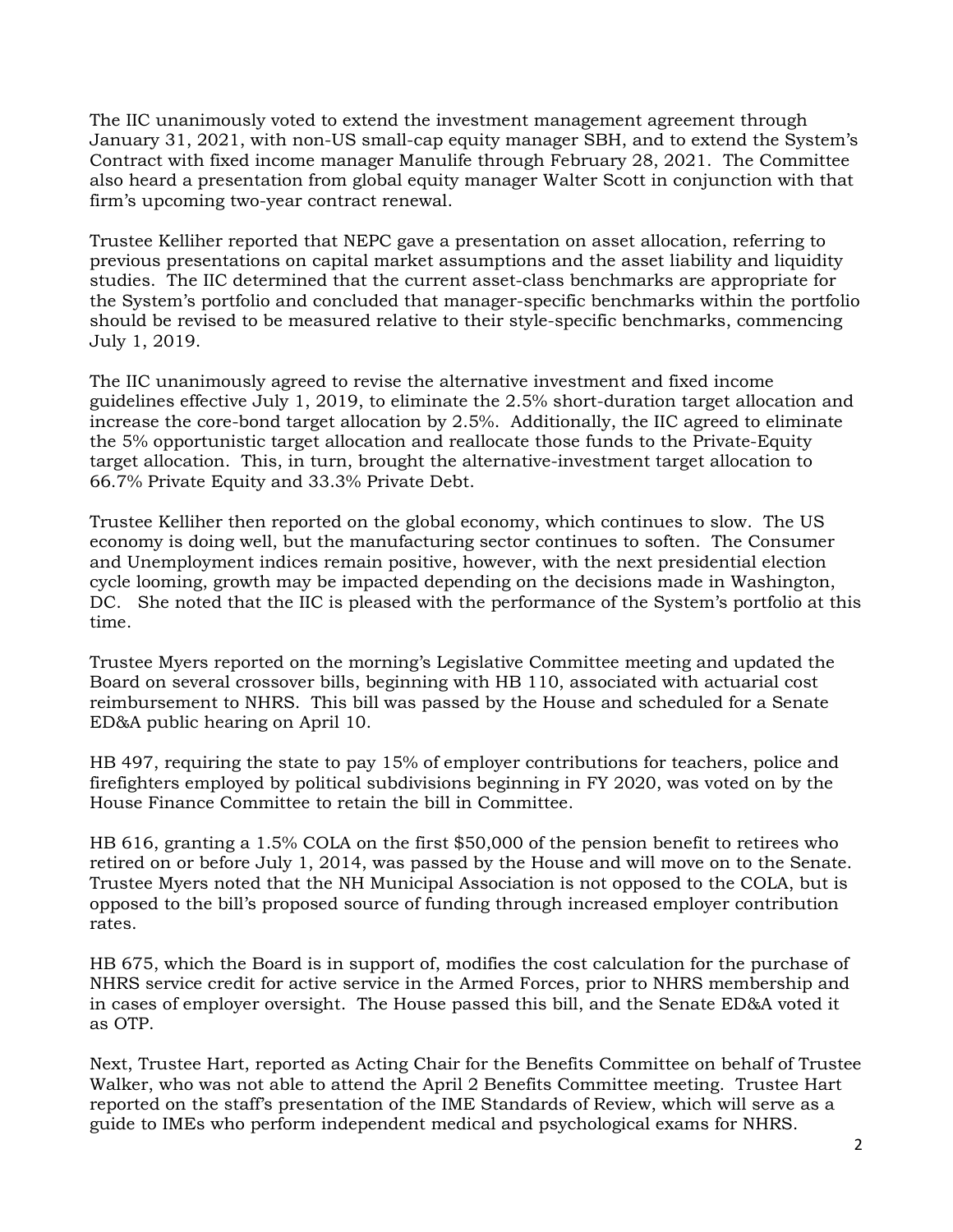The IIC unanimously voted to extend the investment management agreement through January 31, 2021, with non-US small-cap equity manager SBH, and to extend the System's Contract with fixed income manager Manulife through February 28, 2021. The Committee also heard a presentation from global equity manager Walter Scott in conjunction with that firm's upcoming two-year contract renewal.

Trustee Kelliher reported that NEPC gave a presentation on asset allocation, referring to previous presentations on capital market assumptions and the asset liability and liquidity studies. The IIC determined that the current asset-class benchmarks are appropriate for the System's portfolio and concluded that manager-specific benchmarks within the portfolio should be revised to be measured relative to their style-specific benchmarks, commencing July 1, 2019.

The IIC unanimously agreed to revise the alternative investment and fixed income guidelines effective July 1, 2019, to eliminate the 2.5% short-duration target allocation and increase the core-bond target allocation by 2.5%. Additionally, the IIC agreed to eliminate the 5% opportunistic target allocation and reallocate those funds to the Private-Equity target allocation. This, in turn, brought the alternative-investment target allocation to 66.7% Private Equity and 33.3% Private Debt.

Trustee Kelliher then reported on the global economy, which continues to slow. The US economy is doing well, but the manufacturing sector continues to soften. The Consumer and Unemployment indices remain positive, however, with the next presidential election cycle looming, growth may be impacted depending on the decisions made in Washington, DC. She noted that the IIC is pleased with the performance of the System's portfolio at this time.

Trustee Myers reported on the morning's Legislative Committee meeting and updated the Board on several crossover bills, beginning with HB 110, associated with actuarial cost reimbursement to NHRS. This bill was passed by the House and scheduled for a Senate ED&A public hearing on April 10.

HB 497, requiring the state to pay 15% of employer contributions for teachers, police and firefighters employed by political subdivisions beginning in FY 2020, was voted on by the House Finance Committee to retain the bill in Committee.

HB 616, granting a 1.5% COLA on the first \$50,000 of the pension benefit to retirees who retired on or before July 1, 2014, was passed by the House and will move on to the Senate. Trustee Myers noted that the NH Municipal Association is not opposed to the COLA, but is opposed to the bill's proposed source of funding through increased employer contribution rates.

HB 675, which the Board is in support of, modifies the cost calculation for the purchase of NHRS service credit for active service in the Armed Forces, prior to NHRS membership and in cases of employer oversight. The House passed this bill, and the Senate ED&A voted it as OTP.

Next, Trustee Hart, reported as Acting Chair for the Benefits Committee on behalf of Trustee Walker, who was not able to attend the April 2 Benefits Committee meeting. Trustee Hart reported on the staff's presentation of the IME Standards of Review, which will serve as a guide to IMEs who perform independent medical and psychological exams for NHRS.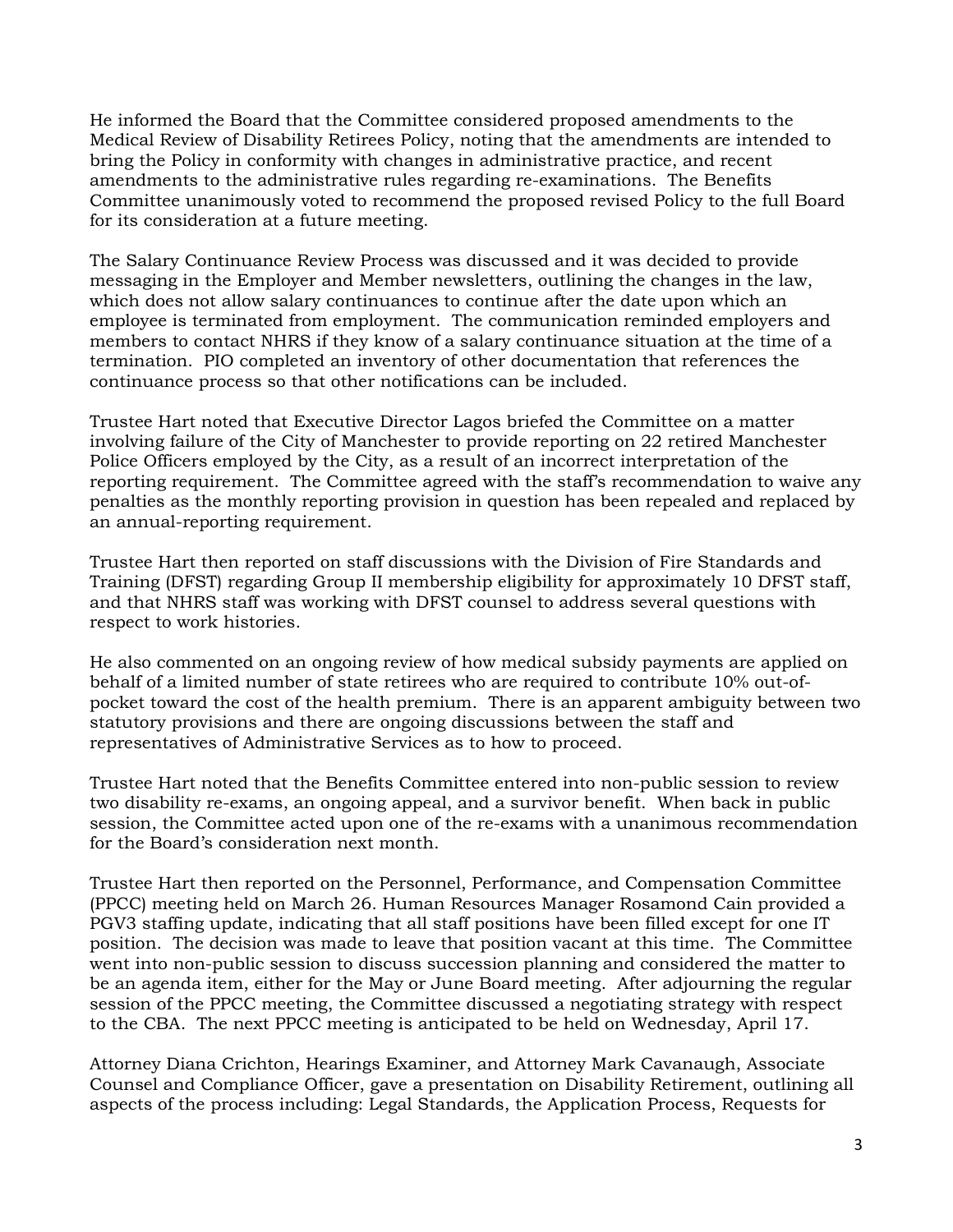He informed the Board that the Committee considered proposed amendments to the Medical Review of Disability Retirees Policy, noting that the amendments are intended to bring the Policy in conformity with changes in administrative practice, and recent amendments to the administrative rules regarding re-examinations. The Benefits Committee unanimously voted to recommend the proposed revised Policy to the full Board for its consideration at a future meeting.

The Salary Continuance Review Process was discussed and it was decided to provide messaging in the Employer and Member newsletters, outlining the changes in the law, which does not allow salary continuances to continue after the date upon which an employee is terminated from employment. The communication reminded employers and members to contact NHRS if they know of a salary continuance situation at the time of a termination. PIO completed an inventory of other documentation that references the continuance process so that other notifications can be included.

Trustee Hart noted that Executive Director Lagos briefed the Committee on a matter involving failure of the City of Manchester to provide reporting on 22 retired Manchester Police Officers employed by the City, as a result of an incorrect interpretation of the reporting requirement. The Committee agreed with the staff's recommendation to waive any penalties as the monthly reporting provision in question has been repealed and replaced by an annual-reporting requirement.

Trustee Hart then reported on staff discussions with the Division of Fire Standards and Training (DFST) regarding Group II membership eligibility for approximately 10 DFST staff, and that NHRS staff was working with DFST counsel to address several questions with respect to work histories.

He also commented on an ongoing review of how medical subsidy payments are applied on behalf of a limited number of state retirees who are required to contribute 10% out-ofpocket toward the cost of the health premium. There is an apparent ambiguity between two statutory provisions and there are ongoing discussions between the staff and representatives of Administrative Services as to how to proceed.

Trustee Hart noted that the Benefits Committee entered into non-public session to review two disability re-exams, an ongoing appeal, and a survivor benefit. When back in public session, the Committee acted upon one of the re-exams with a unanimous recommendation for the Board's consideration next month.

Trustee Hart then reported on the Personnel, Performance, and Compensation Committee (PPCC) meeting held on March 26. Human Resources Manager Rosamond Cain provided a PGV3 staffing update, indicating that all staff positions have been filled except for one IT position. The decision was made to leave that position vacant at this time. The Committee went into non-public session to discuss succession planning and considered the matter to be an agenda item, either for the May or June Board meeting. After adjourning the regular session of the PPCC meeting, the Committee discussed a negotiating strategy with respect to the CBA. The next PPCC meeting is anticipated to be held on Wednesday, April 17.

Attorney Diana Crichton, Hearings Examiner, and Attorney Mark Cavanaugh, Associate Counsel and Compliance Officer, gave a presentation on Disability Retirement, outlining all aspects of the process including: Legal Standards, the Application Process, Requests for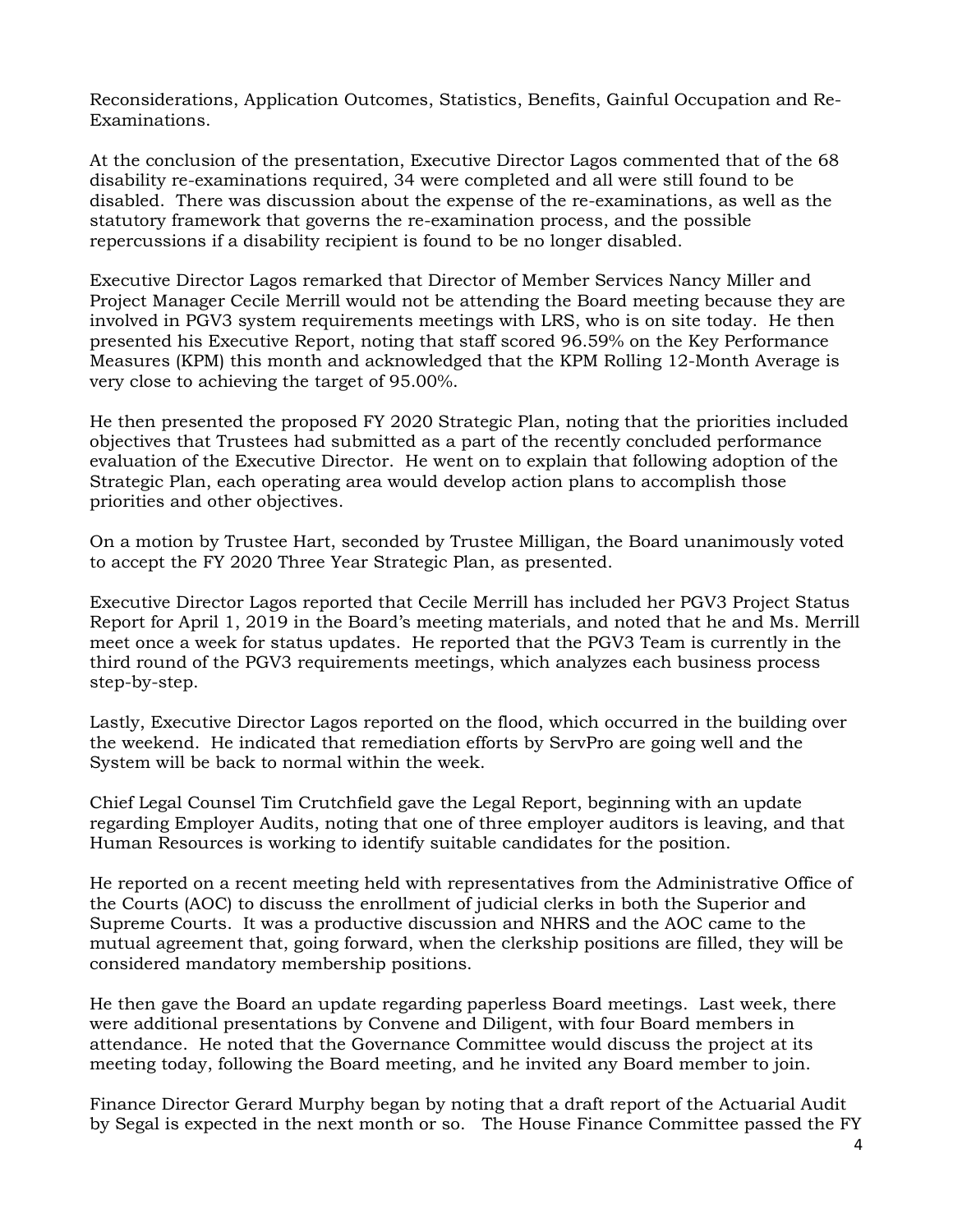Reconsiderations, Application Outcomes, Statistics, Benefits, Gainful Occupation and Re-Examinations.

At the conclusion of the presentation, Executive Director Lagos commented that of the 68 disability re-examinations required, 34 were completed and all were still found to be disabled. There was discussion about the expense of the re-examinations, as well as the statutory framework that governs the re-examination process, and the possible repercussions if a disability recipient is found to be no longer disabled.

Executive Director Lagos remarked that Director of Member Services Nancy Miller and Project Manager Cecile Merrill would not be attending the Board meeting because they are involved in PGV3 system requirements meetings with LRS, who is on site today. He then presented his Executive Report, noting that staff scored 96.59% on the Key Performance Measures (KPM) this month and acknowledged that the KPM Rolling 12-Month Average is very close to achieving the target of 95.00%.

He then presented the proposed FY 2020 Strategic Plan, noting that the priorities included objectives that Trustees had submitted as a part of the recently concluded performance evaluation of the Executive Director. He went on to explain that following adoption of the Strategic Plan, each operating area would develop action plans to accomplish those priorities and other objectives.

On a motion by Trustee Hart, seconded by Trustee Milligan, the Board unanimously voted to accept the FY 2020 Three Year Strategic Plan, as presented.

Executive Director Lagos reported that Cecile Merrill has included her PGV3 Project Status Report for April 1, 2019 in the Board's meeting materials, and noted that he and Ms. Merrill meet once a week for status updates. He reported that the PGV3 Team is currently in the third round of the PGV3 requirements meetings, which analyzes each business process step-by-step.

Lastly, Executive Director Lagos reported on the flood, which occurred in the building over the weekend. He indicated that remediation efforts by ServPro are going well and the System will be back to normal within the week.

Chief Legal Counsel Tim Crutchfield gave the Legal Report, beginning with an update regarding Employer Audits, noting that one of three employer auditors is leaving, and that Human Resources is working to identify suitable candidates for the position.

He reported on a recent meeting held with representatives from the Administrative Office of the Courts (AOC) to discuss the enrollment of judicial clerks in both the Superior and Supreme Courts. It was a productive discussion and NHRS and the AOC came to the mutual agreement that, going forward, when the clerkship positions are filled, they will be considered mandatory membership positions.

He then gave the Board an update regarding paperless Board meetings. Last week, there were additional presentations by Convene and Diligent, with four Board members in attendance. He noted that the Governance Committee would discuss the project at its meeting today, following the Board meeting, and he invited any Board member to join.

Finance Director Gerard Murphy began by noting that a draft report of the Actuarial Audit by Segal is expected in the next month or so. The House Finance Committee passed the FY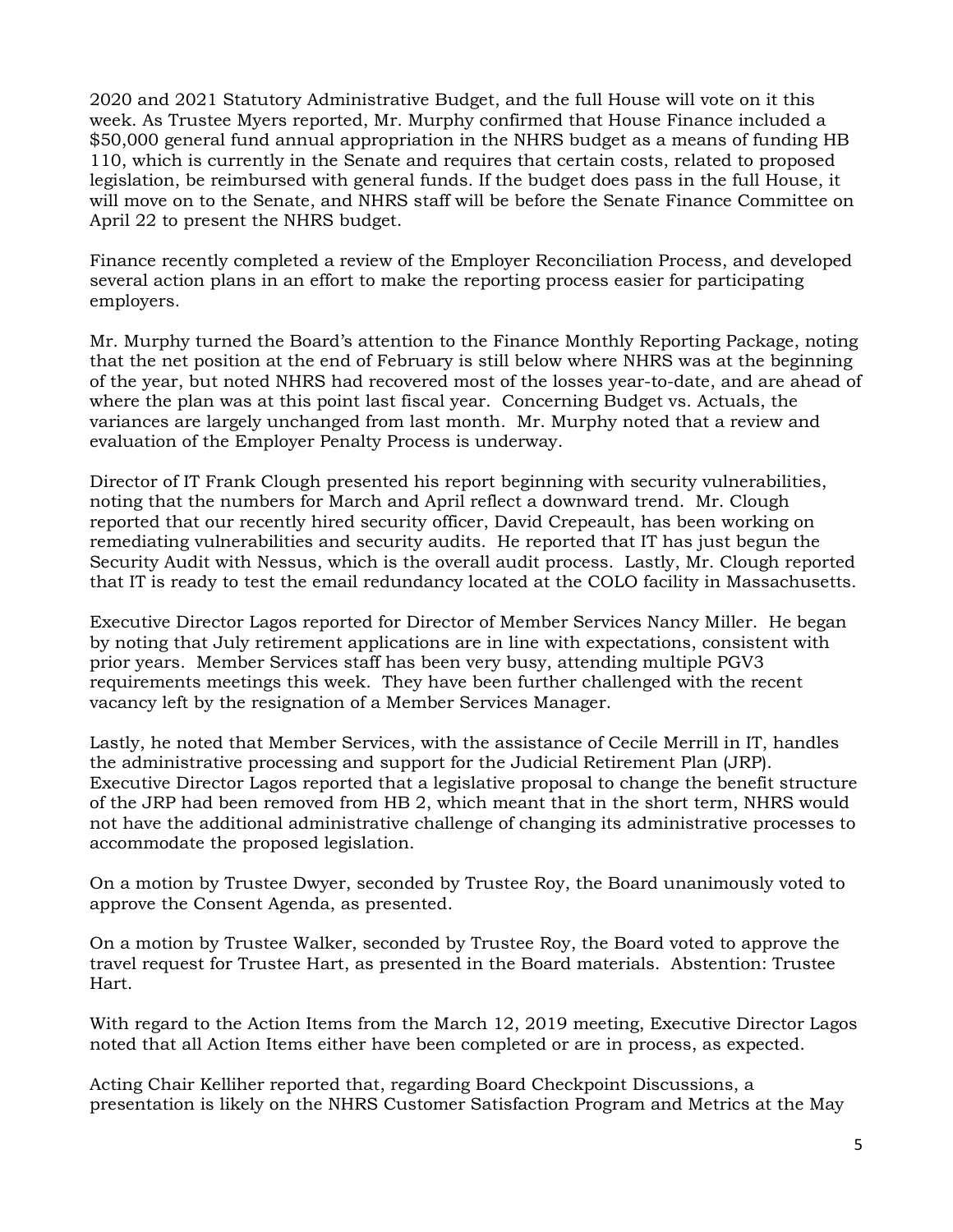2020 and 2021 Statutory Administrative Budget, and the full House will vote on it this week. As Trustee Myers reported, Mr. Murphy confirmed that House Finance included a \$50,000 general fund annual appropriation in the NHRS budget as a means of funding HB 110, which is currently in the Senate and requires that certain costs, related to proposed legislation, be reimbursed with general funds. If the budget does pass in the full House, it will move on to the Senate, and NHRS staff will be before the Senate Finance Committee on April 22 to present the NHRS budget.

Finance recently completed a review of the Employer Reconciliation Process, and developed several action plans in an effort to make the reporting process easier for participating employers.

Mr. Murphy turned the Board's attention to the Finance Monthly Reporting Package, noting that the net position at the end of February is still below where NHRS was at the beginning of the year, but noted NHRS had recovered most of the losses year-to-date, and are ahead of where the plan was at this point last fiscal year. Concerning Budget vs. Actuals, the variances are largely unchanged from last month. Mr. Murphy noted that a review and evaluation of the Employer Penalty Process is underway.

Director of IT Frank Clough presented his report beginning with security vulnerabilities, noting that the numbers for March and April reflect a downward trend. Mr. Clough reported that our recently hired security officer, David Crepeault, has been working on remediating vulnerabilities and security audits. He reported that IT has just begun the Security Audit with Nessus, which is the overall audit process. Lastly, Mr. Clough reported that IT is ready to test the email redundancy located at the COLO facility in Massachusetts.

Executive Director Lagos reported for Director of Member Services Nancy Miller. He began by noting that July retirement applications are in line with expectations, consistent with prior years. Member Services staff has been very busy, attending multiple PGV3 requirements meetings this week. They have been further challenged with the recent vacancy left by the resignation of a Member Services Manager.

Lastly, he noted that Member Services, with the assistance of Cecile Merrill in IT, handles the administrative processing and support for the Judicial Retirement Plan (JRP). Executive Director Lagos reported that a legislative proposal to change the benefit structure of the JRP had been removed from HB 2, which meant that in the short term, NHRS would not have the additional administrative challenge of changing its administrative processes to accommodate the proposed legislation.

On a motion by Trustee Dwyer, seconded by Trustee Roy, the Board unanimously voted to approve the Consent Agenda, as presented.

On a motion by Trustee Walker, seconded by Trustee Roy, the Board voted to approve the travel request for Trustee Hart, as presented in the Board materials. Abstention: Trustee Hart.

With regard to the Action Items from the March 12, 2019 meeting, Executive Director Lagos noted that all Action Items either have been completed or are in process, as expected.

Acting Chair Kelliher reported that, regarding Board Checkpoint Discussions, a presentation is likely on the NHRS Customer Satisfaction Program and Metrics at the May